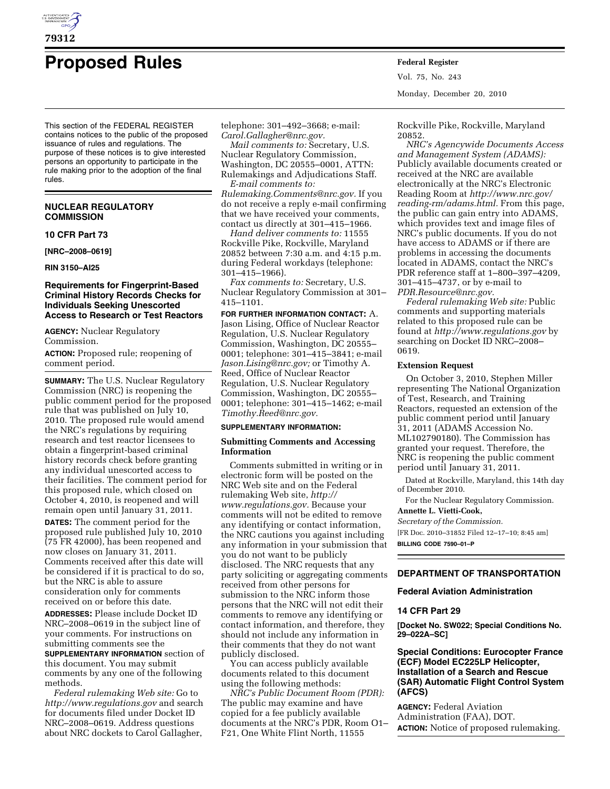

# **Proposed Rules Federal Register**

This section of the FEDERAL REGISTER contains notices to the public of the proposed issuance of rules and regulations. The purpose of these notices is to give interested persons an opportunity to participate in the rule making prior to the adoption of the final rules.

## **NUCLEAR REGULATORY COMMISSION**

## **10 CFR Part 73**

**[NRC–2008–0619]** 

**RIN 3150–AI25** 

## **Requirements for Fingerprint-Based Criminal History Records Checks for Individuals Seeking Unescorted Access to Research or Test Reactors**

**AGENCY:** Nuclear Regulatory Commission.

**ACTION:** Proposed rule; reopening of comment period.

**SUMMARY:** The U.S. Nuclear Regulatory Commission (NRC) is reopening the public comment period for the proposed rule that was published on July 10, 2010. The proposed rule would amend the NRC's regulations by requiring research and test reactor licensees to obtain a fingerprint-based criminal history records check before granting any individual unescorted access to their facilities. The comment period for this proposed rule, which closed on October 4, 2010, is reopened and will remain open until January 31, 2011.

**DATES:** The comment period for the proposed rule published July 10, 2010 (75 FR 42000), has been reopened and now closes on January 31, 2011. Comments received after this date will be considered if it is practical to do so, but the NRC is able to assure consideration only for comments received on or before this date.

**ADDRESSES:** Please include Docket ID NRC–2008–0619 in the subject line of your comments. For instructions on submitting comments see the

**SUPPLEMENTARY INFORMATION** section of this document. You may submit comments by any one of the following methods.

*Federal rulemaking Web site:* Go to *<http://www.regulations.gov>* and search for documents filed under Docket ID NRC–2008–0619. Address questions about NRC dockets to Carol Gallagher,

telephone: 301–492–3668; e-mail: *[Carol.Gallagher@nrc.gov.](mailto:Carol.Gallagher@nrc.gov)* 

*Mail comments to:* Secretary, U.S. Nuclear Regulatory Commission, Washington, DC 20555–0001, ATTN: Rulemakings and Adjudications Staff. *E-mail comments to:* 

*[Rulemaking.Comments@nrc.gov.](mailto:Rulemaking.Comments@nrc.gov)* If you do not receive a reply e-mail confirming that we have received your comments, contact us directly at 301–415–1966.

*Hand deliver comments to:* 11555 Rockville Pike, Rockville, Maryland 20852 between 7:30 a.m. and 4:15 p.m. during Federal workdays (telephone: 301–415–1966).

*Fax comments to:* Secretary, U.S. Nuclear Regulatory Commission at 301– 415–1101.

**FOR FURTHER INFORMATION CONTACT:** A. Jason Lising, Office of Nuclear Reactor Regulation, U.S. Nuclear Regulatory Commission, Washington, DC 20555– 0001; telephone: 301–415–3841; e-mail *[Jason.Lising@nrc.gov;](mailto:Jason.Lising@nrc.gov)* or Timothy A. Reed, Office of Nuclear Reactor Regulation, U.S. Nuclear Regulatory Commission, Washington, DC 20555– 0001; telephone: 301–415–1462; e-mail *[Timothy.Reed@nrc.gov.](mailto:Timothy.Reed@nrc.gov)* 

#### **SUPPLEMENTARY INFORMATION:**

## **Submitting Comments and Accessing Information**

Comments submitted in writing or in electronic form will be posted on the NRC Web site and on the Federal rulemaking Web site, *[http://](http://www.regulations.gov) [www.regulations.gov.](http://www.regulations.gov)* Because your comments will not be edited to remove any identifying or contact information, the NRC cautions you against including any information in your submission that you do not want to be publicly disclosed. The NRC requests that any party soliciting or aggregating comments received from other persons for submission to the NRC inform those persons that the NRC will not edit their comments to remove any identifying or contact information, and therefore, they should not include any information in their comments that they do not want publicly disclosed.

You can access publicly available documents related to this document using the following methods:

*NRC's Public Document Room (PDR):*  The public may examine and have copied for a fee publicly available documents at the NRC's PDR, Room O1– F21, One White Flint North, 11555

Vol. 75, No. 243 Monday, December 20, 2010

Rockville Pike, Rockville, Maryland 20852.

*NRC's Agencywide Documents Access and Management System (ADAMS):*  Publicly available documents created or received at the NRC are available electronically at the NRC's Electronic Reading Room at *[http://www.nrc.gov/](http://www.nrc.gov/reading-rm/adams.html)  [reading-rm/adams.html.](http://www.nrc.gov/reading-rm/adams.html)* From this page, the public can gain entry into ADAMS, which provides text and image files of NRC's public documents. If you do not have access to ADAMS or if there are problems in accessing the documents located in ADAMS, contact the NRC's PDR reference staff at 1–800–397–4209, 301–415–4737, or by e-mail to *[PDR.Resource@nrc.gov.](mailto:PDR.Resource@nrc.gov)* 

*Federal rulemaking Web site:* Public comments and supporting materials related to this proposed rule can be found at *<http://www.regulations.gov>* by searching on Docket ID NRC–2008– 0619.

## **Extension Request**

On October 3, 2010, Stephen Miller representing The National Organization of Test, Research, and Training Reactors, requested an extension of the public comment period until January 31, 2011 (ADAMS Accession No. ML102790180). The Commission has granted your request. Therefore, the NRC is reopening the public comment period until January 31, 2011.

Dated at Rockville, Maryland, this 14th day of December 2010.

For the Nuclear Regulatory Commission. **Annette L. Vietti-Cook,** 

*Secretary of the Commission.* 

[FR Doc. 2010–31852 Filed 12–17–10; 8:45 am] **BILLING CODE 7590–01–P** 

## **DEPARTMENT OF TRANSPORTATION**

## **Federal Aviation Administration**

### **14 CFR Part 29**

**[Docket No. SW022; Special Conditions No. 29–022A–SC]** 

# **Special Conditions: Eurocopter France (ECF) Model EC225LP Helicopter, Installation of a Search and Rescue (SAR) Automatic Flight Control System (AFCS)**

**AGENCY:** Federal Aviation Administration (FAA), DOT. **ACTION:** Notice of proposed rulemaking.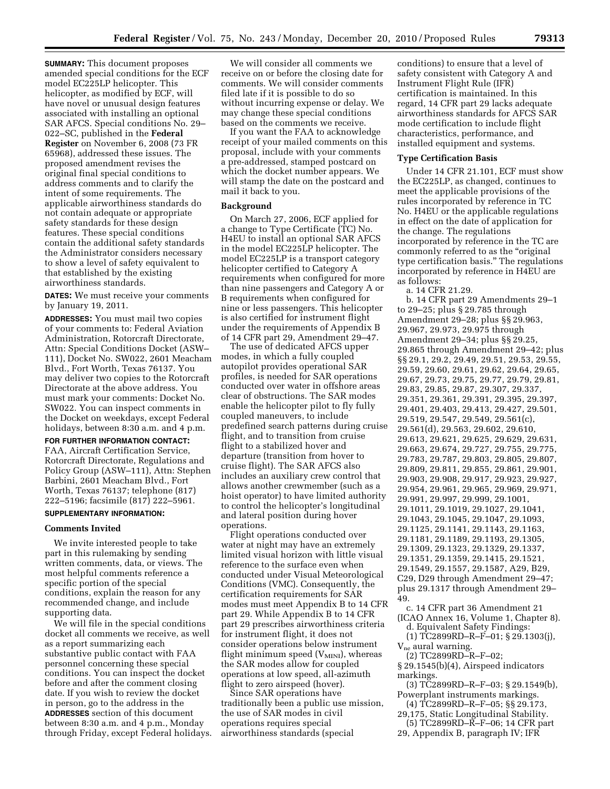**SUMMARY:** This document proposes amended special conditions for the ECF model EC225LP helicopter. This helicopter, as modified by ECF, will have novel or unusual design features associated with installing an optional SAR AFCS. Special conditions No. 29– 022–SC, published in the **Federal Register** on November 6, 2008 (73 FR 65968), addressed these issues. The proposed amendment revises the original final special conditions to address comments and to clarify the intent of some requirements. The applicable airworthiness standards do not contain adequate or appropriate safety standards for these design features. These special conditions contain the additional safety standards the Administrator considers necessary to show a level of safety equivalent to that established by the existing airworthiness standards.

**DATES:** We must receive your comments by January 19, 2011.

**ADDRESSES:** You must mail two copies of your comments to: Federal Aviation Administration, Rotorcraft Directorate, Attn: Special Conditions Docket (ASW– 111), Docket No. SW022, 2601 Meacham Blvd., Fort Worth, Texas 76137. You may deliver two copies to the Rotorcraft Directorate at the above address. You must mark your comments: Docket No. SW022. You can inspect comments in the Docket on weekdays, except Federal holidays, between 8:30 a.m. and 4 p.m.

**FOR FURTHER INFORMATION CONTACT:**  FAA, Aircraft Certification Service, Rotorcraft Directorate, Regulations and Policy Group (ASW–111), Attn: Stephen Barbini, 2601 Meacham Blvd., Fort Worth, Texas 76137; telephone (817) 222–5196; facsimile (817) 222–5961.

## **SUPPLEMENTARY INFORMATION:**

#### **Comments Invited**

We invite interested people to take part in this rulemaking by sending written comments, data, or views. The most helpful comments reference a specific portion of the special conditions, explain the reason for any recommended change, and include supporting data.

We will file in the special conditions docket all comments we receive, as well as a report summarizing each substantive public contact with FAA personnel concerning these special conditions. You can inspect the docket before and after the comment closing date. If you wish to review the docket in person, go to the address in the **ADDRESSES** section of this document between 8:30 a.m. and 4 p.m., Monday through Friday, except Federal holidays.

We will consider all comments we receive on or before the closing date for comments. We will consider comments filed late if it is possible to do so without incurring expense or delay. We may change these special conditions based on the comments we receive.

If you want the FAA to acknowledge receipt of your mailed comments on this proposal, include with your comments a pre-addressed, stamped postcard on which the docket number appears. We will stamp the date on the postcard and mail it back to you.

## **Background**

On March 27, 2006, ECF applied for a change to Type Certificate (TC) No. H4EU to install an optional SAR AFCS in the model EC225LP helicopter. The model EC225LP is a transport category helicopter certified to Category A requirements when configured for more than nine passengers and Category A or B requirements when configured for nine or less passengers. This helicopter is also certified for instrument flight under the requirements of Appendix B of 14 CFR part 29, Amendment 29–47.

The use of dedicated AFCS upper modes, in which a fully coupled autopilot provides operational SAR profiles, is needed for SAR operations conducted over water in offshore areas clear of obstructions. The SAR modes enable the helicopter pilot to fly fully coupled maneuvers, to include predefined search patterns during cruise flight, and to transition from cruise flight to a stabilized hover and departure (transition from hover to cruise flight). The SAR AFCS also includes an auxiliary crew control that allows another crewmember (such as a hoist operator) to have limited authority to control the helicopter's longitudinal and lateral position during hover operations.

Flight operations conducted over water at night may have an extremely limited visual horizon with little visual reference to the surface even when conducted under Visual Meteorological Conditions (VMC). Consequently, the certification requirements for SAR modes must meet Appendix B to 14 CFR part 29. While Appendix B to 14 CFR part 29 prescribes airworthiness criteria for instrument flight, it does not consider operations below instrument flight minimum speed  $(V_{MINI})$ , whereas the SAR modes allow for coupled operations at low speed, all-azimuth flight to zero airspeed (hover).

Since SAR operations have traditionally been a public use mission, the use of SAR modes in civil operations requires special airworthiness standards (special

conditions) to ensure that a level of safety consistent with Category A and Instrument Flight Rule (IFR) certification is maintained. In this regard, 14 CFR part 29 lacks adequate airworthiness standards for AFCS SAR mode certification to include flight characteristics, performance, and installed equipment and systems.

#### **Type Certification Basis**

Under 14 CFR 21.101, ECF must show the EC225LP, as changed, continues to meet the applicable provisions of the rules incorporated by reference in TC No. H4EU or the applicable regulations in effect on the date of application for the change. The regulations incorporated by reference in the TC are commonly referred to as the "original" type certification basis.'' The regulations incorporated by reference in H4EU are as follows:

a. 14 CFR 21.29.

b. 14 CFR part 29 Amendments 29–1 to 29–25; plus § 29.785 through Amendment 29–28; plus §§ 29.963, 29.967, 29.973, 29.975 through Amendment 29–34; plus §§ 29.25, 29.865 through Amendment 29–42; plus §§ 29.1, 29.2, 29.49, 29.51, 29.53, 29.55, 29.59, 29.60, 29.61, 29.62, 29.64, 29.65, 29.67, 29.73, 29.75, 29.77, 29.79, 29.81, 29.83, 29.85, 29.87, 29.307, 29.337, 29.351, 29.361, 29.391, 29.395, 29.397, 29.401, 29.403, 29.413, 29.427, 29.501, 29.519, 29.547, 29.549, 29.561(c), 29.561(d), 29.563, 29.602, 29.610, 29.613, 29.621, 29.625, 29.629, 29.631, 29.663, 29.674, 29.727, 29.755, 29.775, 29.783, 29.787, 29.803, 29.805, 29.807, 29.809, 29.811, 29.855, 29.861, 29.901, 29.903, 29.908, 29.917, 29.923, 29.927, 29.954, 29.961, 29.965, 29.969, 29.971, 29.991, 29.997, 29.999, 29.1001, 29.1011, 29.1019, 29.1027, 29.1041, 29.1043, 29.1045, 29.1047, 29.1093, 29.1125, 29.1141, 29.1143, 29.1163, 29.1181, 29.1189, 29.1193, 29.1305, 29.1309, 29.1323, 29.1329, 29.1337, 29.1351, 29.1359, 29.1415, 29.1521, 29.1549, 29.1557, 29.1587, A29, B29, C29, D29 through Amendment 29–47; plus 29.1317 through Amendment 29– 49. c. 14 CFR part 36 Amendment 21

- (ICAO Annex 16, Volume 1, Chapter 8). d. Equivalent Safety Findings:
- (1) TC2899RD–R–F–01; § 29.1303(j), V<sub>ne</sub> aural warning.
- (2) TC2899RD–R–F–02;
- § 29.1545(b)(4), Airspeed indicators markings.
- (3) TC2899RD–R–F–03; § 29.1549(b), Powerplant instruments markings.
- (4) TC2899RD–R–F–05; §§ 29.173, 29,175, Static Longitudinal Stability.
- (5) TC2899RD–R–F–06; 14 CFR part
- 29, Appendix B, paragraph IV; IFR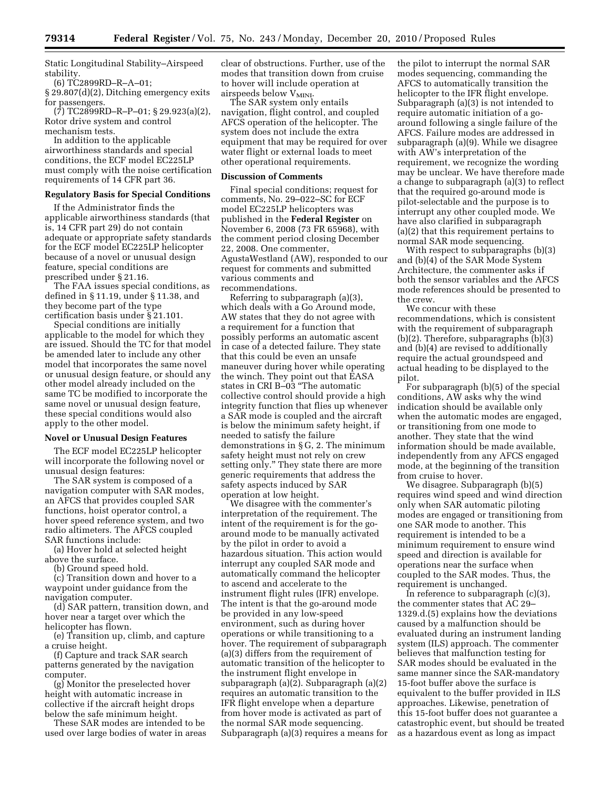Static Longitudinal Stability–Airspeed stability.

(6) TC2899RD–R–A–01;

§ 29.807(d)(2), Ditching emergency exits for passengers.

(7) TC2899RD–R–P–01; § 29.923(a)(2), Rotor drive system and control mechanism tests.

In addition to the applicable airworthiness standards and special conditions, the ECF model EC225LP must comply with the noise certification requirements of 14 CFR part 36.

## **Regulatory Basis for Special Conditions**

If the Administrator finds the applicable airworthiness standards (that is, 14 CFR part 29) do not contain adequate or appropriate safety standards for the ECF model EC225LP helicopter because of a novel or unusual design feature, special conditions are prescribed under § 21.16.

The FAA issues special conditions, as defined in § 11.19, under § 11.38, and they become part of the type certification basis under § 21.101.

Special conditions are initially applicable to the model for which they are issued. Should the TC for that model be amended later to include any other model that incorporates the same novel or unusual design feature, or should any other model already included on the same TC be modified to incorporate the same novel or unusual design feature, these special conditions would also apply to the other model.

#### **Novel or Unusual Design Features**

The ECF model EC225LP helicopter will incorporate the following novel or unusual design features:

The SAR system is composed of a navigation computer with SAR modes, an AFCS that provides coupled SAR functions, hoist operator control, a hover speed reference system, and two radio altimeters. The AFCS coupled SAR functions include:

(a) Hover hold at selected height above the surface.

(b) Ground speed hold.

(c) Transition down and hover to a waypoint under guidance from the navigation computer.

(d) SAR pattern, transition down, and hover near a target over which the helicopter has flown.

(e) Transition up, climb, and capture a cruise height.

(f) Capture and track SAR search patterns generated by the navigation computer.

(g) Monitor the preselected hover height with automatic increase in collective if the aircraft height drops below the safe minimum height.

These SAR modes are intended to be used over large bodies of water in areas

clear of obstructions. Further, use of the modes that transition down from cruise to hover will include operation at airspeeds below V<sub>MINI</sub>.

The SAR system only entails navigation, flight control, and coupled AFCS operation of the helicopter. The system does not include the extra equipment that may be required for over water flight or external loads to meet other operational requirements.

#### **Discussion of Comments**

Final special conditions; request for comments, No. 29–022–SC for ECF model EC225LP helicopters was published in the **Federal Register** on November 6, 2008 (73 FR 65968), with the comment period closing December 22, 2008. One commenter, AgustaWestland (AW), responded to our request for comments and submitted various comments and recommendations.

Referring to subparagraph (a)(3), which deals with a Go Around mode, AW states that they do not agree with a requirement for a function that possibly performs an automatic ascent in case of a detected failure. They state that this could be even an unsafe maneuver during hover while operating the winch. They point out that EASA states in CRI B–03 ''The automatic collective control should provide a high integrity function that flies up whenever a SAR mode is coupled and the aircraft is below the minimum safety height, if needed to satisfy the failure demonstrations in § G, 2. The minimum safety height must not rely on crew setting only.'' They state there are more generic requirements that address the safety aspects induced by SAR operation at low height.

We disagree with the commenter's interpretation of the requirement. The intent of the requirement is for the goaround mode to be manually activated by the pilot in order to avoid a hazardous situation. This action would interrupt any coupled SAR mode and automatically command the helicopter to ascend and accelerate to the instrument flight rules (IFR) envelope. The intent is that the go-around mode be provided in any low-speed environment, such as during hover operations or while transitioning to a hover. The requirement of subparagraph (a)(3) differs from the requirement of automatic transition of the helicopter to the instrument flight envelope in subparagraph  $(a)(\overline{2})$ . Subparagraph  $(a)(2)$ requires an automatic transition to the IFR flight envelope when a departure from hover mode is activated as part of the normal SAR mode sequencing. Subparagraph (a)(3) requires a means for the pilot to interrupt the normal SAR modes sequencing, commanding the AFCS to automatically transition the helicopter to the IFR flight envelope. Subparagraph (a)(3) is not intended to require automatic initiation of a goaround following a single failure of the AFCS. Failure modes are addressed in subparagraph (a)(9). While we disagree with AW's interpretation of the requirement, we recognize the wording may be unclear. We have therefore made a change to subparagraph (a)(3) to reflect that the required go-around mode is pilot-selectable and the purpose is to interrupt any other coupled mode. We have also clarified in subparagraph (a)(2) that this requirement pertains to normal SAR mode sequencing.

With respect to subparagraphs (b)(3) and (b)(4) of the SAR Mode System Architecture, the commenter asks if both the sensor variables and the AFCS mode references should be presented to the crew.

We concur with these recommendations, which is consistent with the requirement of subparagraph (b)(2). Therefore, subparagraphs (b)(3) and (b)(4) are revised to additionally require the actual groundspeed and actual heading to be displayed to the pilot.

For subparagraph (b)(5) of the special conditions, AW asks why the wind indication should be available only when the automatic modes are engaged, or transitioning from one mode to another. They state that the wind information should be made available, independently from any AFCS engaged mode, at the beginning of the transition from cruise to hover.

We disagree. Subparagraph (b)(5) requires wind speed and wind direction only when SAR automatic piloting modes are engaged or transitioning from one SAR mode to another. This requirement is intended to be a minimum requirement to ensure wind speed and direction is available for operations near the surface when coupled to the SAR modes. Thus, the requirement is unchanged.

In reference to subparagraph (c)(3), the commenter states that AC 29– 1329.d.(5) explains how the deviations caused by a malfunction should be evaluated during an instrument landing system (ILS) approach. The commenter believes that malfunction testing for SAR modes should be evaluated in the same manner since the SAR-mandatory 15-foot buffer above the surface is equivalent to the buffer provided in ILS approaches. Likewise, penetration of this 15-foot buffer does not guarantee a catastrophic event, but should be treated as a hazardous event as long as impact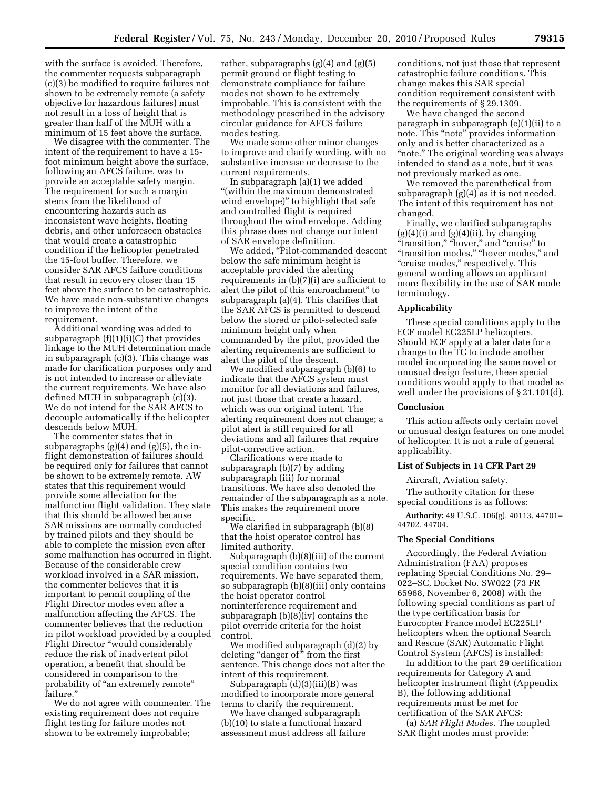with the surface is avoided. Therefore, the commenter requests subparagraph (c)(3) be modified to require failures not shown to be extremely remote (a safety objective for hazardous failures) must not result in a loss of height that is greater than half of the MUH with a minimum of 15 feet above the surface.

We disagree with the commenter. The intent of the requirement to have a 15 foot minimum height above the surface, following an AFCS failure, was to provide an acceptable safety margin. The requirement for such a margin stems from the likelihood of encountering hazards such as inconsistent wave heights, floating debris, and other unforeseen obstacles that would create a catastrophic condition if the helicopter penetrated the 15-foot buffer. Therefore, we consider SAR AFCS failure conditions that result in recovery closer than 15 feet above the surface to be catastrophic. We have made non-substantive changes to improve the intent of the requirement.

Additional wording was added to subparagraph  $(f)(1)(i)(C)$  that provides linkage to the MUH determination made in subparagraph (c)(3). This change was made for clarification purposes only and is not intended to increase or alleviate the current requirements. We have also defined MUH in subparagraph (c)(3). We do not intend for the SAR AFCS to decouple automatically if the helicopter descends below MUH.

The commenter states that in subparagraphs  $(g)(4)$  and  $(g)(5)$ , the inflight demonstration of failures should be required only for failures that cannot be shown to be extremely remote. AW states that this requirement would provide some alleviation for the malfunction flight validation. They state that this should be allowed because SAR missions are normally conducted by trained pilots and they should be able to complete the mission even after some malfunction has occurred in flight. Because of the considerable crew workload involved in a SAR mission, the commenter believes that it is important to permit coupling of the Flight Director modes even after a malfunction affecting the AFCS. The commenter believes that the reduction in pilot workload provided by a coupled Flight Director ''would considerably reduce the risk of inadvertent pilot operation, a benefit that should be considered in comparison to the probability of "an extremely remote" failure.''

We do not agree with commenter. The existing requirement does not require flight testing for failure modes not shown to be extremely improbable;

rather, subparagraphs  $(g)(4)$  and  $(g)(5)$ permit ground or flight testing to demonstrate compliance for failure modes not shown to be extremely improbable. This is consistent with the methodology prescribed in the advisory circular guidance for AFCS failure modes testing.

We made some other minor changes to improve and clarify wording, with no substantive increase or decrease to the current requirements.

In subparagraph (a)(1) we added "(within the maximum demonstrated wind envelope)'' to highlight that safe and controlled flight is required throughout the wind envelope. Adding this phrase does not change our intent of SAR envelope definition.

We added, "Pilot-commanded descent" below the safe minimum height is acceptable provided the alerting requirements in (b)(7)(i) are sufficient to alert the pilot of this encroachment'' to subparagraph (a)(4). This clarifies that the SAR AFCS is permitted to descend below the stored or pilot-selected safe minimum height only when commanded by the pilot, provided the alerting requirements are sufficient to alert the pilot of the descent.

We modified subparagraph (b)(6) to indicate that the AFCS system must monitor for all deviations and failures, not just those that create a hazard, which was our original intent. The alerting requirement does not change; a pilot alert is still required for all deviations and all failures that require pilot-corrective action.

Clarifications were made to subparagraph (b)(7) by adding subparagraph (iii) for normal transitions. We have also denoted the remainder of the subparagraph as a note. This makes the requirement more specific.

We clarified in subparagraph (b)(8) that the hoist operator control has limited authority.

Subparagraph (b)(8)(iii) of the current special condition contains two requirements. We have separated them, so subparagraph (b)(8)(iii) only contains the hoist operator control noninterference requirement and subparagraph (b)(8)(iv) contains the pilot override criteria for the hoist control.

We modified subparagraph (d)(2) by deleting "danger of" from the first sentence. This change does not alter the intent of this requirement.

Subparagraph (d)(3)(iii)(B) was modified to incorporate more general terms to clarify the requirement.

We have changed subparagraph (b)(10) to state a functional hazard assessment must address all failure conditions, not just those that represent catastrophic failure conditions. This change makes this SAR special condition requirement consistent with the requirements of § 29.1309.

We have changed the second paragraph in subparagraph (e)(1)(ii) to a note. This "note" provides information only and is better characterized as a "note." The original wording was always intended to stand as a note, but it was not previously marked as one.

We removed the parenthetical from subparagraph (g)(4) as it is not needed. The intent of this requirement has not changed.

Finally, we clarified subparagraphs  $(g)(4)(i)$  and  $(g)(4)(ii)$ , by changing "transition," "hover," and "cruise" to "transition modes," "hover modes," and "cruise modes," respectively. This general wording allows an applicant more flexibility in the use of SAR mode terminology.

#### **Applicability**

These special conditions apply to the ECF model EC225LP helicopters. Should ECF apply at a later date for a change to the TC to include another model incorporating the same novel or unusual design feature, these special conditions would apply to that model as well under the provisions of § 21.101(d).

#### **Conclusion**

This action affects only certain novel or unusual design features on one model of helicopter. It is not a rule of general applicability.

## **List of Subjects in 14 CFR Part 29**

Aircraft, Aviation safety.

The authority citation for these special conditions is as follows:

**Authority:** 49 U.S.C. 106(g), 40113, 44701– 44702, 44704.

## **The Special Conditions**

Accordingly, the Federal Aviation Administration (FAA) proposes replacing Special Conditions No. 29– 022–SC, Docket No. SW022 (73 FR 65968, November 6, 2008) with the following special conditions as part of the type certification basis for Eurocopter France model EC225LP helicopters when the optional Search and Rescue (SAR) Automatic Flight Control System (AFCS) is installed:

In addition to the part 29 certification requirements for Category A and helicopter instrument flight (Appendix B), the following additional requirements must be met for certification of the SAR AFCS:

(a) *SAR Flight Modes.* The coupled SAR flight modes must provide: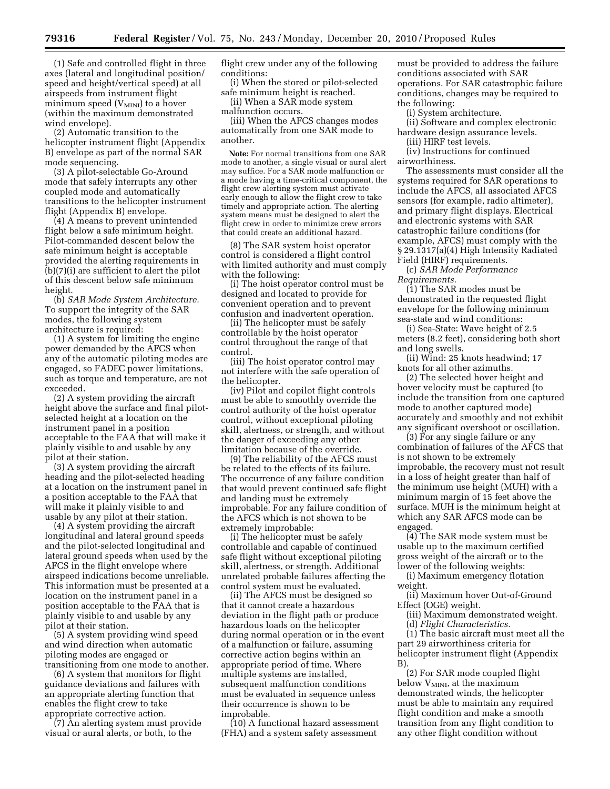(1) Safe and controlled flight in three axes (lateral and longitudinal position/ speed and height/vertical speed) at all airspeeds from instrument flight minimum speed  $(V_{MINI})$  to a hover (within the maximum demonstrated wind envelope).

(2) Automatic transition to the helicopter instrument flight (Appendix B) envelope as part of the normal SAR mode sequencing.

(3) A pilot-selectable Go-Around mode that safely interrupts any other coupled mode and automatically transitions to the helicopter instrument flight (Appendix B) envelope.

(4) A means to prevent unintended flight below a safe minimum height. Pilot-commanded descent below the safe minimum height is acceptable provided the alerting requirements in (b)(7)(i) are sufficient to alert the pilot of this descent below safe minimum height.

(b) *SAR Mode System Architecture.*  To support the integrity of the SAR modes, the following system architecture is required:

(1) A system for limiting the engine power demanded by the AFCS when any of the automatic piloting modes are engaged, so FADEC power limitations, such as torque and temperature, are not exceeded.

(2) A system providing the aircraft height above the surface and final pilotselected height at a location on the instrument panel in a position acceptable to the FAA that will make it plainly visible to and usable by any pilot at their station.

(3) A system providing the aircraft heading and the pilot-selected heading at a location on the instrument panel in a position acceptable to the FAA that will make it plainly visible to and usable by any pilot at their station.

(4) A system providing the aircraft longitudinal and lateral ground speeds and the pilot-selected longitudinal and lateral ground speeds when used by the AFCS in the flight envelope where airspeed indications become unreliable. This information must be presented at a location on the instrument panel in a position acceptable to the FAA that is plainly visible to and usable by any pilot at their station.

(5) A system providing wind speed and wind direction when automatic piloting modes are engaged or transitioning from one mode to another.

(6) A system that monitors for flight guidance deviations and failures with an appropriate alerting function that enables the flight crew to take appropriate corrective action.

(7) An alerting system must provide visual or aural alerts, or both, to the

flight crew under any of the following conditions:

(i) When the stored or pilot-selected safe minimum height is reached.

(ii) When a SAR mode system malfunction occurs.

(iii) When the AFCS changes modes automatically from one SAR mode to another.

**Note:** For normal transitions from one SAR mode to another, a single visual or aural alert may suffice. For a SAR mode malfunction or a mode having a time-critical component, the flight crew alerting system must activate early enough to allow the flight crew to take timely and appropriate action. The alerting system means must be designed to alert the flight crew in order to minimize crew errors that could create an additional hazard.

(8) The SAR system hoist operator control is considered a flight control with limited authority and must comply with the following:

(i) The hoist operator control must be designed and located to provide for convenient operation and to prevent confusion and inadvertent operation.

(ii) The helicopter must be safely controllable by the hoist operator control throughout the range of that control.

(iii) The hoist operator control may not interfere with the safe operation of the helicopter.

(iv) Pilot and copilot flight controls must be able to smoothly override the control authority of the hoist operator control, without exceptional piloting skill, alertness, or strength, and without the danger of exceeding any other limitation because of the override.

(9) The reliability of the AFCS must be related to the effects of its failure. The occurrence of any failure condition that would prevent continued safe flight and landing must be extremely improbable. For any failure condition of the AFCS which is not shown to be extremely improbable:

(i) The helicopter must be safely controllable and capable of continued safe flight without exceptional piloting skill, alertness, or strength. Additional unrelated probable failures affecting the control system must be evaluated.

(ii) The AFCS must be designed so that it cannot create a hazardous deviation in the flight path or produce hazardous loads on the helicopter during normal operation or in the event of a malfunction or failure, assuming corrective action begins within an appropriate period of time. Where multiple systems are installed, subsequent malfunction conditions must be evaluated in sequence unless their occurrence is shown to be improbable.

(10) A functional hazard assessment (FHA) and a system safety assessment

must be provided to address the failure conditions associated with SAR operations. For SAR catastrophic failure conditions, changes may be required to the following:

(i) System architecture.

(ii) Software and complex electronic hardware design assurance levels.

(iii) HIRF test levels.

(iv) Instructions for continued airworthiness.

The assessments must consider all the systems required for SAR operations to include the AFCS, all associated AFCS sensors (for example, radio altimeter), and primary flight displays. Electrical and electronic systems with SAR catastrophic failure conditions (for example, AFCS) must comply with the § 29.1317(a)(4) High Intensity Radiated Field (HIRF) requirements.

(c) *SAR Mode Performance Requirements.* 

(1) The SAR modes must be demonstrated in the requested flight envelope for the following minimum sea-state and wind conditions:

(i) Sea-State: Wave height of 2.5 meters (8.2 feet), considering both short and long swells.

(ii) Wind: 25 knots headwind; 17 knots for all other azimuths.

(2) The selected hover height and hover velocity must be captured (to include the transition from one captured mode to another captured mode) accurately and smoothly and not exhibit any significant overshoot or oscillation.

(3) For any single failure or any combination of failures of the AFCS that is not shown to be extremely improbable, the recovery must not result in a loss of height greater than half of the minimum use height (MUH) with a minimum margin of 15 feet above the surface. MUH is the minimum height at which any SAR AFCS mode can be engaged.

(4) The SAR mode system must be usable up to the maximum certified gross weight of the aircraft or to the lower of the following weights:

(i) Maximum emergency flotation weight.

(ii) Maximum hover Out-of-Ground Effect (OGE) weight.

(iii) Maximum demonstrated weight. (d) *Flight Characteristics.* 

(1) The basic aircraft must meet all the part 29 airworthiness criteria for helicopter instrument flight (Appendix B)

(2) For SAR mode coupled flight below  $V_{MINI}$ , at the maximum demonstrated winds, the helicopter must be able to maintain any required flight condition and make a smooth transition from any flight condition to any other flight condition without